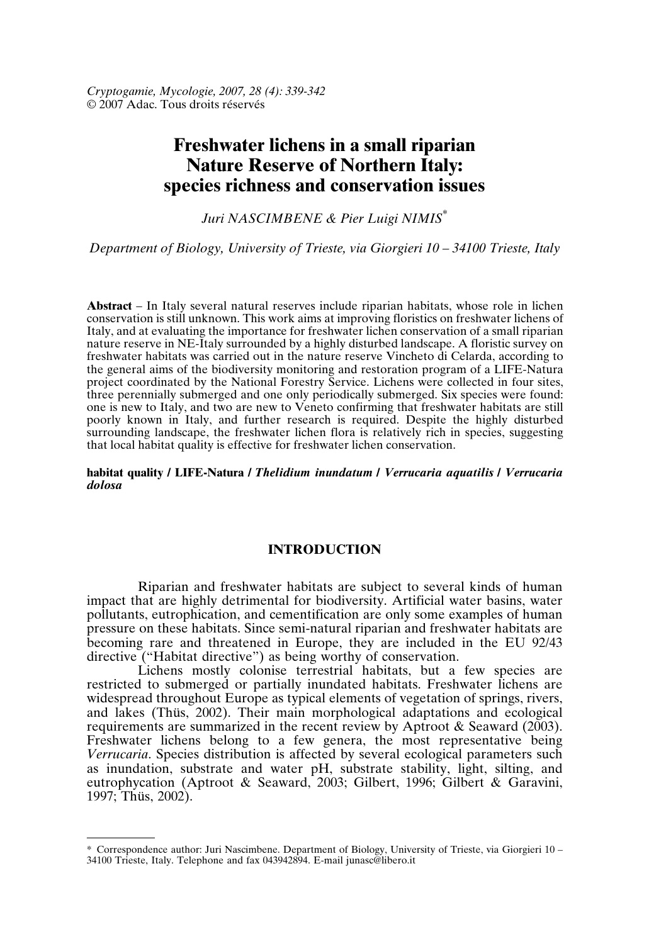*Cryptogamie, Mycologie, 2007, 28 (4): 339-342* © 2007 Adac. Tous droits réservés

# **Freshwater lichens in a small riparian Nature Reserve of Northern Italy: species richness and conservation issues**

*Juri NASCIMBENE & Pier Luigi NIMIS\**

*Department of Biology, University of Trieste, via Giorgieri 10 – 34100 Trieste, Italy*

**Abstract** – In Italy several natural reserves include riparian habitats, whose role in lichen conservation is still unknown. This work aims at improving floristics on freshwater lichens of Italy, and at evaluating the importance for freshwater lichen conservation of a small riparian nature reserve in NE-Italy surrounded by a highly disturbed landscape. A floristic survey on freshwater habitats was carried out in the nature reserve Vincheto di Celarda, according to the general aims of the biodiversity monitoring and restoration program of a LIFE-Natura project coordinated by the National Forestry Service. Lichens were collected in four sites, three perennially submerged and one only periodically submerged. Six species were found: one is new to Italy, and two are new to Veneto confirming that freshwater habitats are still poorly known in Italy, and further research is required. Despite the highly disturbed surrounding landscape, the freshwater lichen flora is relatively rich in species, suggesting that local habitat quality is effective for freshwater lichen conservation.

**habitat quality / LIFE-Natura /** *Thelidium inundatum* **/** *Verrucaria aquatilis* **/** *Verrucaria dolosa*

## **INTRODUCTION**

Riparian and freshwater habitats are subject to several kinds of human impact that are highly detrimental for biodiversity. Artificial water basins, water pollutants, eutrophication, and cementification are only some examples of human pressure on these habitats. Since semi-natural riparian and freshwater habitats are becoming rare and threatened in Europe, they are included in the EU 92/43 directive ("Habitat directive") as being worthy of conservation.

Lichens mostly colonise terrestrial habitats, but a few species are restricted to submerged or partially inundated habitats. Freshwater lichens are widespread throughout Europe as typical elements of vegetation of springs, rivers, and lakes (Thüs, 2002). Their main morphological adaptations and ecological requirements are summarized in the recent review by Aptroot & Seaward (2003). Freshwater lichens belong to a few genera, the most representative being *Verrucaria*. Species distribution is affected by several ecological parameters such as inundation, substrate and water pH, substrate stability, light, silting, and eutrophycation (Aptroot & Seaward, 2003; Gilbert, 1996; Gilbert & Garavini, 1997; Thüs, 2002).

<sup>\*</sup> Correspondence author: Juri Nascimbene. Department of Biology, University of Trieste, via Giorgieri 10 – 34100 Trieste, Italy. Telephone and fax 043942894. E-mail junasc@libero.it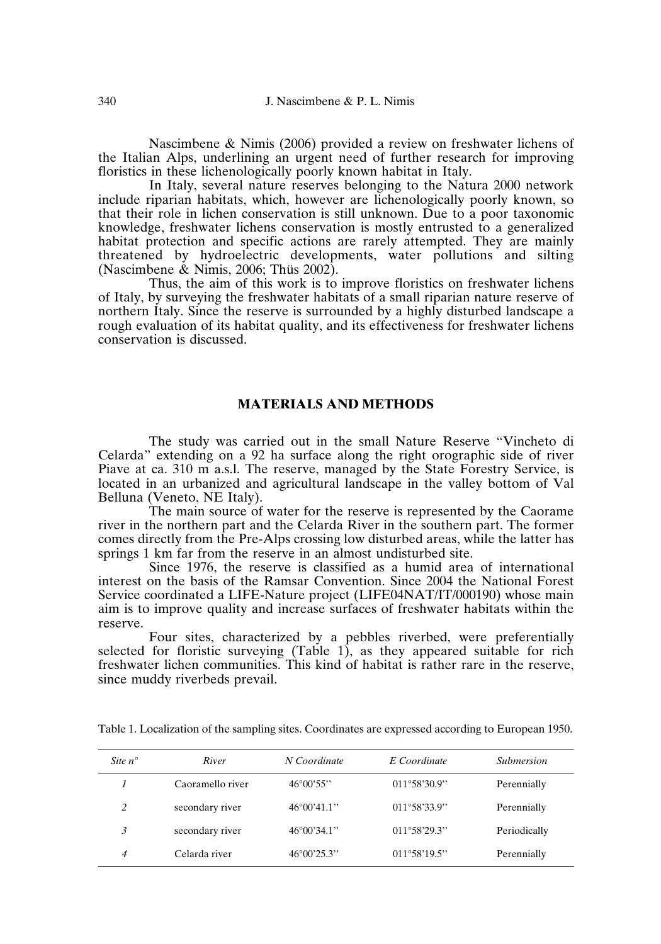Nascimbene & Nimis (2006) provided a review on freshwater lichens of the Italian Alps, underlining an urgent need of further research for improving floristics in these lichenologically poorly known habitat in Italy.

In Italy, several nature reserves belonging to the Natura 2000 network include riparian habitats, which, however are lichenologically poorly known, so that their role in lichen conservation is still unknown. Due to a poor taxonomic knowledge, freshwater lichens conservation is mostly entrusted to a generalized habitat protection and specific actions are rarely attempted. They are mainly threatened by hydroelectric developments, water pollutions and silting (Nascimbene & Nimis, 2006; Thüs 2002).

Thus, the aim of this work is to improve floristics on freshwater lichens of Italy, by surveying the freshwater habitats of a small riparian nature reserve of northern Italy. Since the reserve is surrounded by a highly disturbed landscape a rough evaluation of its habitat quality, and its effectiveness for freshwater lichens conservation is discussed.

#### **MATERIALS AND METHODS**

The study was carried out in the small Nature Reserve "Vincheto di Celarda" extending on a 92 ha surface along the right orographic side of river Piave at ca. 310 m a.s.l. The reserve, managed by the State Forestry Service, is located in an urbanized and agricultural landscape in the valley bottom of Val Belluna (Veneto, NE Italy).

The main source of water for the reserve is represented by the Caorame river in the northern part and the Celarda River in the southern part. The former comes directly from the Pre-Alps crossing low disturbed areas, while the latter has springs 1 km far from the reserve in an almost undisturbed site.

Since 1976, the reserve is classified as a humid area of international interest on the basis of the Ramsar Convention. Since 2004 the National Forest Service coordinated a LIFE-Nature project (LIFE04NAT/IT/000190) whose main aim is to improve quality and increase surfaces of freshwater habitats within the reserve.

Four sites, characterized by a pebbles riverbed, were preferentially selected for floristic surveying (Table 1), as they appeared suitable for rich freshwater lichen communities. This kind of habitat is rather rare in the reserve, since muddy riverbeds prevail.

| Site $n^{\circ}$ | River            | N Coordinate         | E Coordinate          | Submersion   |
|------------------|------------------|----------------------|-----------------------|--------------|
|                  | Caoramello river | $46^{\circ}00'55"$   | $011^{\circ}58'30.9"$ | Perennially  |
| 2                | secondary river  | $46^{\circ}00'41.1"$ | $011^{\circ}58'33.9"$ | Perennially  |
| 3                | secondary river  | $46^{\circ}00'34.1"$ | $011^{\circ}58'29.3"$ | Periodically |
| 4                | Celarda river    | $46^{\circ}00'25.3"$ | $011^{\circ}58'19.5"$ | Perennially  |

Table 1. Localization of the sampling sites. Coordinates are expressed according to European 1950.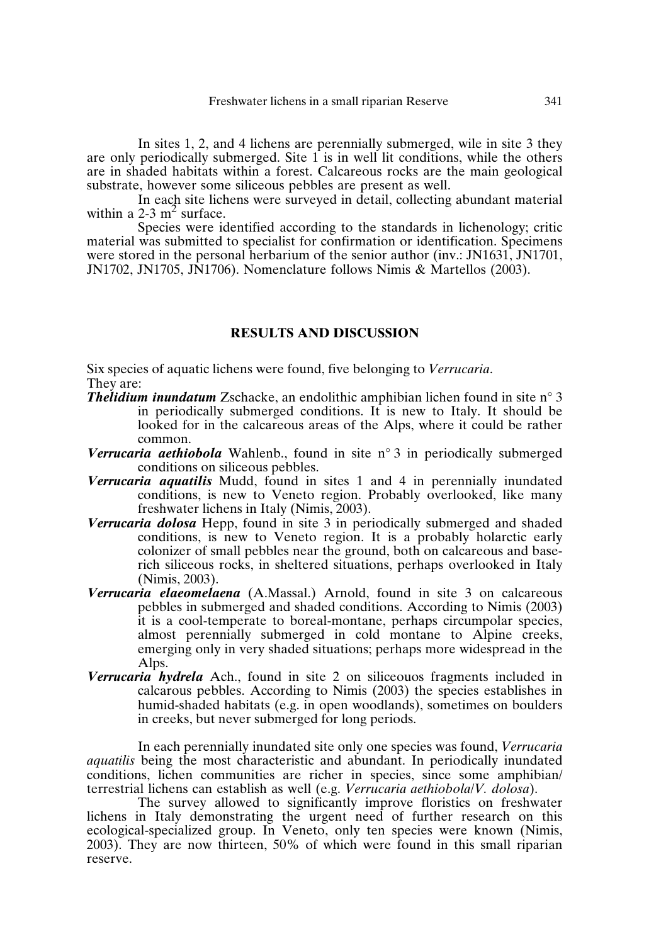#### Freshwater lichens in a small riparian Reserve 341

In sites 1, 2, and 4 lichens are perennially submerged, wile in site 3 they are only periodically submerged. Site  $1$  is in well lit conditions, while the others are in shaded habitats within a forest. Calcareous rocks are the main geological substrate, however some siliceous pebbles are present as well.

In each site lichens were surveyed in detail, collecting abundant material within a 2-3  $m^2$  surface.

Species were identified according to the standards in lichenology; critic material was submitted to specialist for confirmation or identification. Specimens were stored in the personal herbarium of the senior author (inv.: JN1631, JN1701, JN1702, JN1705, JN1706). Nomenclature follows Nimis & Martellos (2003).

#### **RESULTS AND DISCUSSION**

Six species of aquatic lichens were found, five belonging to *Verrucaria*. They are:

- *Thelidium inundatum* Zschacke, an endolithic amphibian lichen found in site n° 3 in periodically submerged conditions. It is new to Italy. It should be looked for in the calcareous areas of the Alps, where it could be rather common.
- *Verrucaria aethiobola* Wahlenb., found in site n° 3 in periodically submerged conditions on siliceous pebbles.
- *Verrucaria aquatilis* Mudd, found in sites 1 and 4 in perennially inundated conditions, is new to Veneto region. Probably overlooked, like many freshwater lichens in Italy (Nimis, 2003).
- *Verrucaria dolosa* Hepp, found in site 3 in periodically submerged and shaded conditions, is new to Veneto region. It is a probably holarctic early colonizer of small pebbles near the ground, both on calcareous and baserich siliceous rocks, in sheltered situations, perhaps overlooked in Italy (Nimis, 2003).
- *Verrucaria elaeomelaena* (A.Massal.) Arnold, found in site 3 on calcareous pebbles in submerged and shaded conditions. According to Nimis (2003) it is a cool-temperate to boreal-montane, perhaps circumpolar species, almost perennially submerged in cold montane to Alpine creeks, emerging only in very shaded situations; perhaps more widespread in the Alps.
- *Verrucaria hydrela* Ach., found in site 2 on siliceouos fragments included in calcarous pebbles. According to Nimis (2003) the species establishes in humid-shaded habitats (e.g. in open woodlands), sometimes on boulders in creeks, but never submerged for long periods.

In each perennially inundated site only one species was found, *Verrucaria aquatilis* being the most characteristic and abundant. In periodically inundated conditions, lichen communities are richer in species, since some amphibian/ terrestrial lichens can establish as well (e.g. *Verrucaria aethiobola*/*V. dolosa*).

The survey allowed to significantly improve floristics on freshwater lichens in Italy demonstrating the urgent need of further research on this ecological-specialized group. In Veneto, only ten species were known (Nimis, 2003). They are now thirteen, 50% of which were found in this small riparian reserve.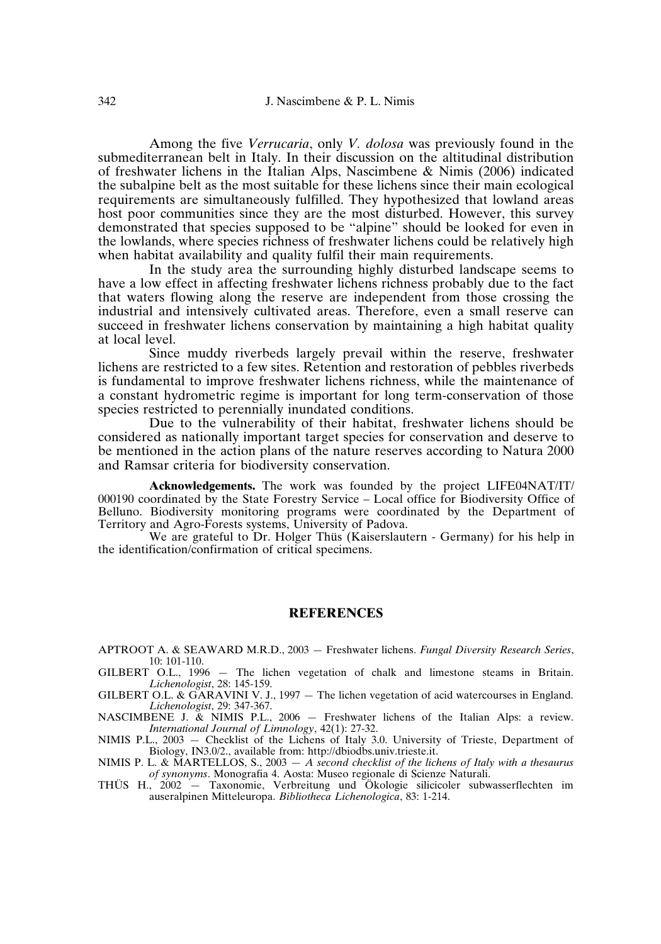Among the five *Verrucaria*, only *V. dolosa* was previously found in the submediterranean belt in Italy. In their discussion on the altitudinal distribution of freshwater lichens in the Italian Alps, Nascimbene & Nimis (2006) indicated the subalpine belt as the most suitable for these lichens since their main ecological requirements are simultaneously fulfilled. They hypothesized that lowland areas host poor communities since they are the most disturbed. However, this survey demonstrated that species supposed to be "alpine" should be looked for even in the lowlands, where species richness of freshwater lichens could be relatively high when habitat availability and quality fulfil their main requirements.

In the study area the surrounding highly disturbed landscape seems to have a low effect in affecting freshwater lichens richness probably due to the fact that waters flowing along the reserve are independent from those crossing the industrial and intensively cultivated areas. Therefore, even a small reserve can succeed in freshwater lichens conservation by maintaining a high habitat quality at local level.

Since muddy riverbeds largely prevail within the reserve, freshwater lichens are restricted to a few sites. Retention and restoration of pebbles riverbeds is fundamental to improve freshwater lichens richness, while the maintenance of a constant hydrometric regime is important for long term-conservation of those species restricted to perennially inundated conditions.

Due to the vulnerability of their habitat, freshwater lichens should be considered as nationally important target species for conservation and deserve to be mentioned in the action plans of the nature reserves according to Natura 2000 and Ramsar criteria for biodiversity conservation.

**Acknowledgements.** The work was founded by the project LIFE04NAT/IT/ 000190 coordinated by the State Forestry Service – Local office for Biodiversity Office of Belluno. Biodiversity monitoring programs were coordinated by the Department of Territory and Agro-Forests systems, University of Padova.

We are grateful to Dr. Holger Thüs (Kaiserslautern - Germany) for his help in the identification/confirmation of critical specimens.

#### **REFERENCES**

APTROOT A. & SEAWARD M.R.D., 2003 — Freshwater lichens. *Fungal Diversity Research Series*, 10: 101-110.

GILBERT O.L., 1996 — The lichen vegetation of chalk and limestone steams in Britain. *Lichenologist*, 28: 145-159.

GILBERT O.L. & GARAVINI V. J., 1997 – The lichen vegetation of acid watercourses in England. *Lichenologist*, 29: 347-367.

NASCIMBENE J. & NIMIS P.L., 2006 — Freshwater lichens of the Italian Alps: a review. *International Journal of Limnology*, 42(1): 27-32.

NIMIS P.L., 2003 — Checklist of the Lichens of Italy 3.0. University of Trieste, Department of Biology, IN3.0/2., available from: http://dbiodbs.univ.trieste.it.

NIMIS P. L. & MARTELLOS, S., 2003 — *A second checklist of the lichens of Italy with a thesaurus of synonyms*. Monografia 4. Aosta: Museo regionale di Scienze Naturali.

THÜS H., 2002 — Taxonomie, Verbreitung und Ökologie silicicoler subwasserflechten im auseralpinen Mitteleuropa. *Bibliotheca Lichenologica*, 83: 1-214.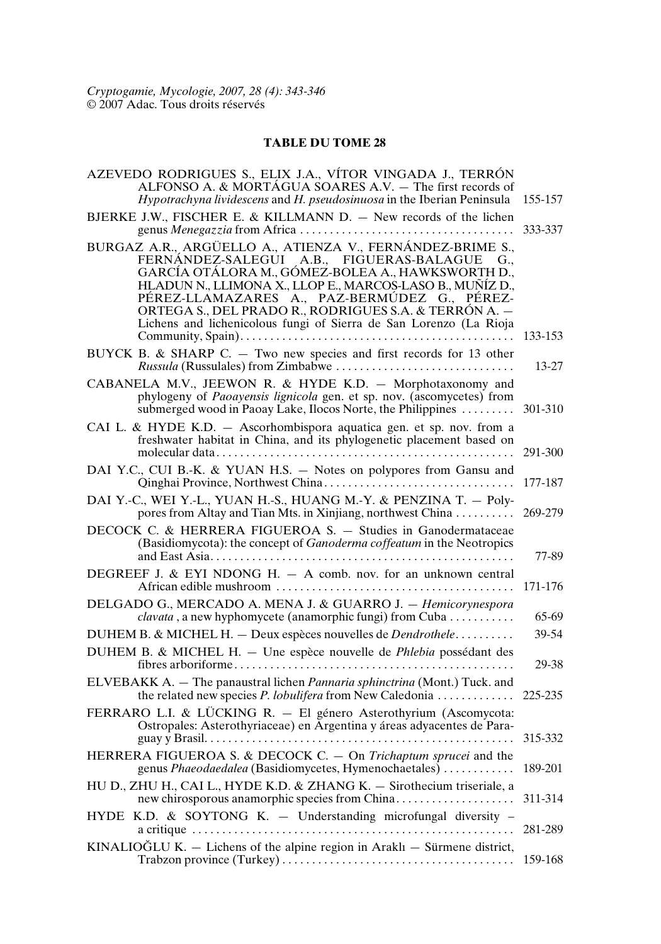### **TABLE DU TOME 28**

| AZEVEDO RODRIGUES S., ELIX J.A., VÍTOR VINGADA J., TERRÓN<br>ALFONSO A. & MORTÁGUA SOARES A.V. - The first records of<br>Hypotrachyna lividescens and H. pseudosinuosa in the Iberian Peninsula                                                                                                                                                                                                            | 155-157 |
|------------------------------------------------------------------------------------------------------------------------------------------------------------------------------------------------------------------------------------------------------------------------------------------------------------------------------------------------------------------------------------------------------------|---------|
| BJERKE J.W., FISCHER E. & KILLMANN D. - New records of the lichen                                                                                                                                                                                                                                                                                                                                          | 333-337 |
| BURGAZ A.R., ARGÜELLO A., ATIENZA V., FERNÁNDEZ-BRIME S.,<br>FERNÁNDEZ-SALEGUI A.B., FIGUERAS-BALAGUE G.,<br>GARCÍA OTÁLORA M., GÓMEZ-BOLEA A., HAWKSWORTH D.,<br>HLADUN N., LLIMONA X., LLOP E., MARCOS-LASO B., MUÑÍZ D.,<br>PÉREZ-LLAMAZARES A., PAZ-BERMÚDEZ G., PÉREZ-<br>ORTEGA S., DEL PRADO R., RODRIGUES S.A. & TERRÓN A. -<br>Lichens and lichenicolous fungi of Sierra de San Lorenzo (La Rioja | 133-153 |
| BUYCK B. & SHARP C. - Two new species and first records for 13 other                                                                                                                                                                                                                                                                                                                                       | 13-27   |
| CABANELA M.V., JEEWON R. & HYDE K.D. - Morphotaxonomy and<br>phylogeny of Paoayensis lignicola gen. et sp. nov. (ascomycetes) from<br>submerged wood in Paoay Lake, Ilocos Norte, the Philippines                                                                                                                                                                                                          | 301-310 |
| CAI L. & HYDE K.D. - Ascorhombispora aquatica gen. et sp. nov. from a<br>freshwater habitat in China, and its phylogenetic placement based on                                                                                                                                                                                                                                                              | 291-300 |
| DAI Y.C., CUI B.-K. & YUAN H.S. - Notes on polypores from Gansu and                                                                                                                                                                                                                                                                                                                                        | 177-187 |
| DAI Y.-C., WEI Y.-L., YUAN H.-S., HUANG M.-Y. & PENZINA T. - Poly-<br>pores from Altay and Tian Mts. in Xinjiang, northwest China                                                                                                                                                                                                                                                                          | 269-279 |
| DECOCK C. & HERRERA FIGUEROA S. - Studies in Ganodermataceae<br>(Basidiomycota): the concept of Ganoderma coffeatum in the Neotropics                                                                                                                                                                                                                                                                      | 77-89   |
| DEGREEF J. & EYI NDONG H. $-$ A comb. nov. for an unknown central                                                                                                                                                                                                                                                                                                                                          | 171-176 |
| DELGADO G., MERCADO A. MENA J. & GUARRO J. - Hemicorynespora<br>clavata, a new hyphomycete (anamorphic fungi) from Cuba                                                                                                                                                                                                                                                                                    | 65-69   |
| DUHEM B. & MICHEL H. - Deux espèces nouvelles de Dendrothele                                                                                                                                                                                                                                                                                                                                               | 39-54   |
| DUHEM B. & MICHEL H. - Une espèce nouvelle de Phlebia possédant des                                                                                                                                                                                                                                                                                                                                        | 29-38   |
| ELVEBAKK A. - The panaustral lichen Pannaria sphinctrina (Mont.) Tuck. and<br>the related new species P. lobulifera from New Caledonia                                                                                                                                                                                                                                                                     | 225-235 |
| FERRARO L.I. & LÜCKING R. - El género Asterothyrium (Ascomycota:<br>Ostropales: Asterothyriaceae) en Argentina y áreas adyacentes de Para-                                                                                                                                                                                                                                                                 | 315-332 |
| HERRERA FIGUEROA S. & DECOCK C. - On Trichaptum sprucei and the<br>genus Phaeodaedalea (Basidiomycetes, Hymenochaetales)  189-201                                                                                                                                                                                                                                                                          |         |
| HU D., ZHU H., CAI L., HYDE K.D. & ZHANG K. - Sirothecium triseriale, a                                                                                                                                                                                                                                                                                                                                    | 311-314 |
| HYDE K.D. & SOYTONG K. - Understanding microfungal diversity -                                                                                                                                                                                                                                                                                                                                             | 281-289 |
| KINALIOĞLU K. - Lichens of the alpine region in Araklı - Sürmene district,                                                                                                                                                                                                                                                                                                                                 | 159-168 |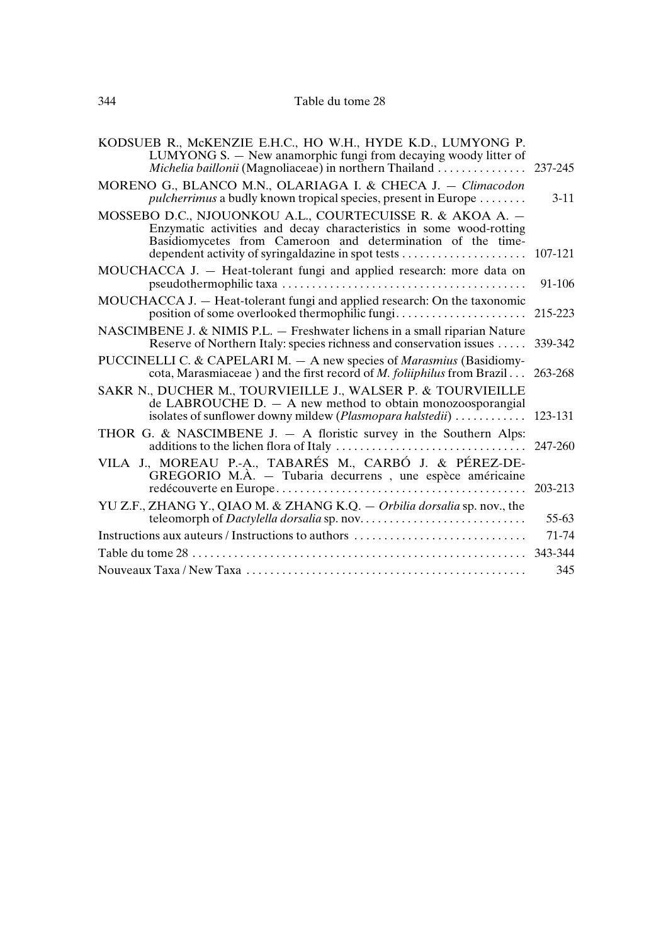| KODSUEB R., McKENZIE E.H.C., HO W.H., HYDE K.D., LUMYONG P.<br>LUMYONG S. - New anamorphic fungi from decaying woody litter of                                                                                                                        |           |  |  |
|-------------------------------------------------------------------------------------------------------------------------------------------------------------------------------------------------------------------------------------------------------|-----------|--|--|
| MORENO G., BLANCO M.N., OLARIAGA I. & CHECA J. - Climacodon<br>pulcherrimus a budly known tropical species, present in Europe                                                                                                                         | $3 - 11$  |  |  |
| MOSSEBO D.C., NJOUONKOU A.L., COURTECUISSE R. & AKOA A. -<br>Enzymatic activities and decay characteristics in some wood-rotting<br>Basidiomycetes from Cameroon and determination of the time-<br>dependent activity of syringaldazine in spot tests | 107-121   |  |  |
| MOUCHACCA J. - Heat-tolerant fungi and applied research: more data on                                                                                                                                                                                 | 91-106    |  |  |
| MOUCHACCA J. - Heat-tolerant fungi and applied research: On the taxonomic<br>position of some overlooked thermophilic fungi                                                                                                                           | 215-223   |  |  |
| NASCIMBENE J. & NIMIS P.L. - Freshwater lichens in a small riparian Nature<br>Reserve of Northern Italy: species richness and conservation issues                                                                                                     | 339-342   |  |  |
| PUCCINELLI C. & CAPELARI M. - A new species of <i>Marasmius</i> (Basidiomy-<br>cota, Marasmiaceae) and the first record of <i>M. foliiphilus</i> from Brazil 263-268                                                                                  |           |  |  |
| SAKR N., DUCHER M., TOURVIEILLE J., WALSER P. & TOURVIEILLE<br>de LABROUCHE $D. - A$ new method to obtain monozoosporangial                                                                                                                           |           |  |  |
| THOR G. & NASCIMBENE J. $-$ A floristic survey in the Southern Alps:                                                                                                                                                                                  | 247-260   |  |  |
| VILA J., MOREAU P.-A., TABARÉS M., CARBÓ J. & PÉREZ-DE-<br>GREGORIO M.À. - Tubaria decurrens, une espèce américaine                                                                                                                                   | 203-213   |  |  |
| YU Z.F., ZHANG Y., QIAO M. & ZHANG K.Q. - Orbilia dorsalia sp. nov., the                                                                                                                                                                              | $55 - 63$ |  |  |
| Instructions aux auteurs / Instructions to authors                                                                                                                                                                                                    |           |  |  |
|                                                                                                                                                                                                                                                       |           |  |  |
|                                                                                                                                                                                                                                                       |           |  |  |
|                                                                                                                                                                                                                                                       |           |  |  |